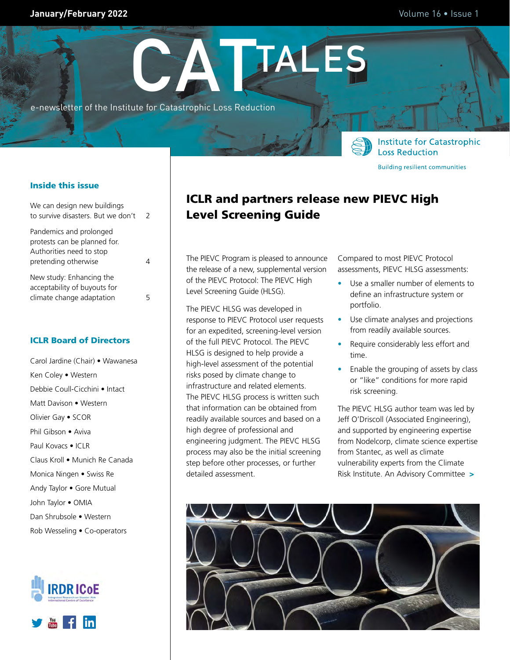### **January/February 2022 Volume 16 • Issue 1**

**Institute for Catastrophic** 

**Building resilient communities** 

**Loss Reduction** 

e-newsletter of the Institute for Catastrophic Loss Reduction



| We can design new buildings<br>to survive disasters. But we don't                                           | $\mathcal{L}$ |
|-------------------------------------------------------------------------------------------------------------|---------------|
| Pandemics and prolonged<br>protests can be planned for.<br>Authorities need to stop<br>pretending otherwise |               |
| New study: Enhancing the<br>acceptability of buyouts for<br>climate change adaptation                       | 5             |

### ICLR Board of Directors

Carol Jardine (Chair) • Wawanesa Ken Coley • Western Debbie Coull-Cicchini • Intact Matt Davison • Western Olivier Gay • SCOR Phil Gibson • Aviva Paul Kovacs • ICLR Claus Kroll • Munich Re Canada Monica Ningen • Swiss Re Andy Taylor • Gore Mutual John Taylor • OMIA Dan Shrubsole • Western Rob Wesseling • Co-operators





# ICLR and partners release new PIEVC High Level Screening Guide

**CATTALES**

The PIEVC Program is pleased to announce the release of a new, supplemental version of the PIEVC Protocol: The PIEVC High Level Screening Guide (HLSG).

The PIEVC HLSG was developed in response to PIEVC Protocol user requests for an expedited, screening-level version of the full PIEVC Protocol. The PIEVC HLSG is designed to help provide a high-level assessment of the potential risks posed by climate change to infrastructure and related elements. The PIEVC HLSG process is written such that information can be obtained from readily available sources and based on a high degree of professional and engineering judgment. The PIEVC HLSG process may also be the initial screening step before other processes, or further detailed assessment.

Compared to most PIEVC Protocol assessments, PIEVC HLSG assessments:

- Use a smaller number of elements to define an infrastructure system or portfolio.
- Use climate analyses and projections from readily available sources.
- Require considerably less effort and time.
- Enable the grouping of assets by class or "like" conditions for more rapid risk screening.

The PIEVC HLSG author team was led by Jeff O'Driscoll (Associated Engineering), and supported by engineering expertise from Nodelcorp, climate science expertise from Stantec, as well as climate vulnerability experts from the Climate Risk Institute. An Advisory Committee >

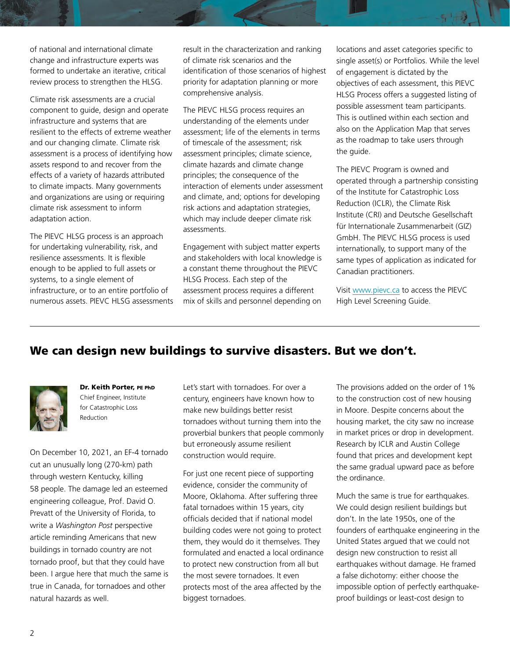<span id="page-1-0"></span>of national and international climate change and infrastructure experts was formed to undertake an iterative, critical review process to strengthen the HLSG.

Climate risk assessments are a crucial component to guide, design and operate infrastructure and systems that are resilient to the effects of extreme weather and our changing climate. Climate risk assessment is a process of identifying how assets respond to and recover from the effects of a variety of hazards attributed to climate impacts. Many governments and organizations are using or requiring climate risk assessment to inform adaptation action.

The PIEVC HLSG process is an approach for undertaking vulnerability, risk, and resilience assessments. It is flexible enough to be applied to full assets or systems, to a single element of infrastructure, or to an entire portfolio of numerous assets. PIEVC HLSG assessments result in the characterization and ranking of climate risk scenarios and the identification of those scenarios of highest priority for adaptation planning or more comprehensive analysis.

The PIEVC HLSG process requires an understanding of the elements under assessment; life of the elements in terms of timescale of the assessment; risk assessment principles; climate science, climate hazards and climate change principles; the consequence of the interaction of elements under assessment and climate, and; options for developing risk actions and adaptation strategies, which may include deeper climate risk assessments.

Engagement with subject matter experts and stakeholders with local knowledge is a constant theme throughout the PIEVC HLSG Process. Each step of the assessment process requires a different mix of skills and personnel depending on locations and asset categories specific to single asset(s) or Portfolios. While the level of engagement is dictated by the objectives of each assessment, this PIEVC HLSG Process offers a suggested listing of possible assessment team participants. This is outlined within each section and also on the Application Map that serves as the roadmap to take users through the guide.

The PIEVC Program is owned and operated through a partnership consisting of the Institute for Catastrophic Loss Reduction (ICLR), the Climate Risk Institute (CRI) and Deutsche Gesellschaft für Internationale Zusammenarbeit (GIZ) GmbH. The PIEVC HLSG process is used internationally, to support many of the same types of application as indicated for Canadian practitioners.

Visit www.pievc.ca to access the PIEVC High Level Screening Guide.

# We can design new buildings to survive disasters. But we don't.



Dr. Keith Porter, PE PhD Chief Engineer, Institute for Catastrophic Loss Reduction

On December 10, 2021, an EF-4 tornado cut an unusually long (270-km) path through western Kentucky, killing 58 people. The damage led an esteemed engineering colleague, Prof. David O. Prevatt of the University of Florida, to write a *Washington Post* perspective article reminding Americans that new buildings in tornado country are not tornado proof, but that they could have been. I argue here that much the same is true in Canada, for tornadoes and other natural hazards as well.

Let's start with tornadoes. For over a century, engineers have known how to make new buildings better resist tornadoes without turning them into the proverbial bunkers that people commonly but erroneously assume resilient construction would require.

For just one recent piece of supporting evidence, consider the community of Moore, Oklahoma. After suffering three fatal tornadoes within 15 years, city officials decided that if national model building codes were not going to protect them, they would do it themselves. They formulated and enacted a local ordinance to protect new construction from all but the most severe tornadoes. It even protects most of the area affected by the biggest tornadoes.

The provisions added on the order of 1% to the construction cost of new housing in Moore. Despite concerns about the housing market, the city saw no increase in market prices or drop in development. Research by ICLR and Austin College found that prices and development kept the same gradual upward pace as before the ordinance.

Much the same is true for earthquakes. We could design resilient buildings but don't. In the late 1950s, one of the founders of earthquake engineering in the United States argued that we could not design new construction to resist all earthquakes without damage. He framed a false dichotomy: either choose the impossible option of perfectly earthquakeproof buildings or least-cost design to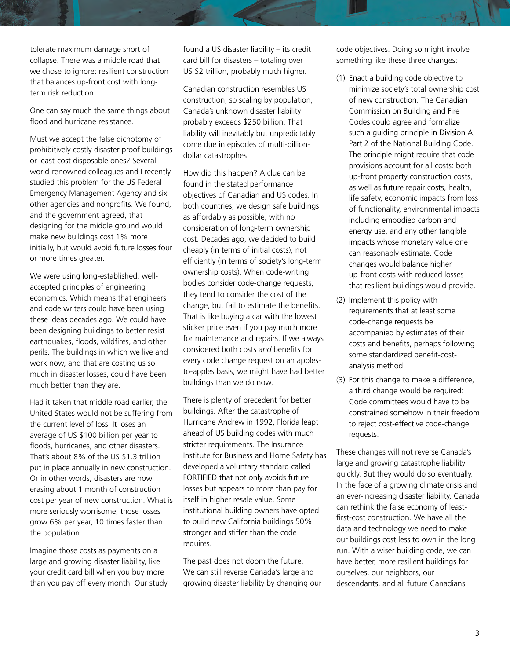tolerate maximum damage short of collapse. There was a middle road that we chose to ignore: resilient construction that balances up-front cost with longterm risk reduction.

One can say much the same things about flood and hurricane resistance.

Must we accept the false dichotomy of prohibitively costly disaster-proof buildings or least-cost disposable ones? Several world-renowned colleagues and I recently studied this problem for the US Federal Emergency Management Agency and six other agencies and nonprofits. We found, and the government agreed, that designing for the middle ground would make new buildings cost 1% more initially, but would avoid future losses four or more times greater.

We were using long-established, wellaccepted principles of engineering economics. Which means that engineers and code writers could have been using these ideas decades ago. We could have been designing buildings to better resist earthquakes, floods, wildfires, and other perils. The buildings in which we live and work now, and that are costing us so much in disaster losses, could have been much better than they are.

Had it taken that middle road earlier, the United States would not be suffering from the current level of loss. It loses an average of US \$100 billion per year to floods, hurricanes, and other disasters. That's about 8% of the US \$1.3 trillion put in place annually in new construction. Or in other words, disasters are now erasing about 1 month of construction cost per year of new construction. What is more seriously worrisome, those losses grow 6% per year, 10 times faster than the population.

Imagine those costs as payments on a large and growing disaster liability, like your credit card bill when you buy more than you pay off every month. Our study found a US disaster liability – its credit card bill for disasters – totaling over US \$2 trillion, probably much higher.

Canadian construction resembles US construction, so scaling by population, Canada's unknown disaster liability probably exceeds \$250 billion. That liability will inevitably but unpredictably come due in episodes of multi-billiondollar catastrophes.

How did this happen? A clue can be found in the stated performance objectives of Canadian and US codes. In both countries, we design safe buildings as affordably as possible, with no consideration of long-term ownership cost. Decades ago, we decided to build cheaply (in terms of initial costs), not efficiently (in terms of society's long-term ownership costs). When code-writing bodies consider code-change requests, they tend to consider the cost of the change, but fail to estimate the benefits. That is like buying a car with the lowest sticker price even if you pay much more for maintenance and repairs. If we always considered both costs *and* benefits for every code change request on an applesto-apples basis, we might have had better buildings than we do now.

There is plenty of precedent for better buildings. After the catastrophe of Hurricane Andrew in 1992, Florida leapt ahead of US building codes with much stricter requirements. The Insurance Institute for Business and Home Safety has developed a voluntary standard called FORTIFIED that not only avoids future losses but appears to more than pay for itself in higher resale value. Some institutional building owners have opted to build new California buildings 50% stronger and stiffer than the code requires.

The past does not doom the future. We can still reverse Canada's large and growing disaster liability by changing our code objectives. Doing so might involve something like these three changes:

- (1) Enact a building code objective to minimize society's total ownership cost of new construction. The Canadian Commission on Building and Fire Codes could agree and formalize such a guiding principle in Division A, Part 2 of the National Building Code. The principle might require that code provisions account for all costs: both up-front property construction costs, as well as future repair costs, health, life safety, economic impacts from loss of functionality, environmental impacts including embodied carbon and energy use, and any other tangible impacts whose monetary value one can reasonably estimate. Code changes would balance higher up-front costs with reduced losses that resilient buildings would provide.
- (2) Implement this policy with requirements that at least some code-change requests be accompanied by estimates of their costs and benefits, perhaps following some standardized benefit-costanalysis method.
- (3) For this change to make a difference, a third change would be required: Code committees would have to be constrained somehow in their freedom to reject cost-effective code-change requests.

These changes will not reverse Canada's large and growing catastrophe liability quickly. But they would do so eventually. In the face of a growing climate crisis and an ever-increasing disaster liability, Canada can rethink the false economy of leastfirst-cost construction. We have all the data and technology we need to make our buildings cost less to own in the long run. With a wiser building code, we can have better, more resilient buildings for ourselves, our neighbors, our descendants, and all future Canadians.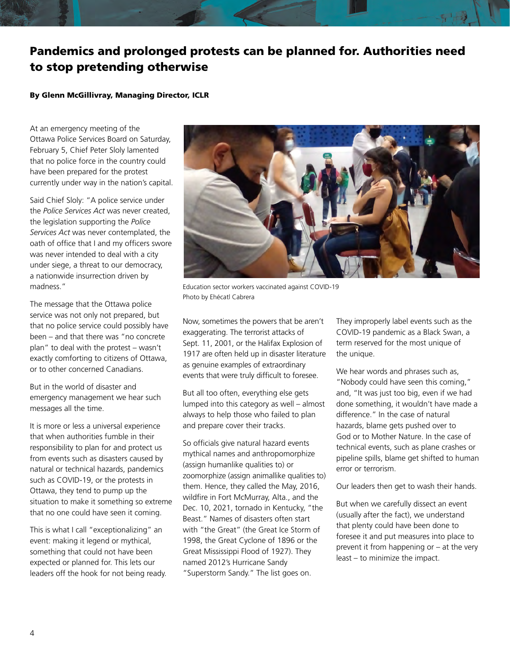# <span id="page-3-0"></span>Pandemics and prolonged protests can be planned for. Authorities need to stop pretending otherwise

#### By Glenn McGillivray, Managing Director, ICLR

At an emergency meeting of the Ottawa Police Services Board on Saturday, February 5, Chief Peter Sloly lamented that no police force in the country could have been prepared for the protest currently under way in the nation's capital.

Said Chief Sloly: "A police service under the *Police Services Act* was never created, the legislation supporting the *Police Services Act* was never contemplated, the oath of office that I and my officers swore was never intended to deal with a city under siege, a threat to our democracy, a nationwide insurrection driven by madness."

The message that the Ottawa police service was not only not prepared, but that no police service could possibly have been – and that there was "no concrete plan" to deal with the protest – wasn't exactly comforting to citizens of Ottawa, or to other concerned Canadians.

But in the world of disaster and emergency management we hear such messages all the time.

It is more or less a universal experience that when authorities fumble in their responsibility to plan for and protect us from events such as disasters caused by natural or technical hazards, pandemics such as COVID-19, or the protests in Ottawa, they tend to pump up the situation to make it something so extreme that no one could have seen it coming.

This is what I call "exceptionalizing" an event: making it legend or mythical, something that could not have been expected or planned for. This lets our leaders off the hook for not being ready.



Education sector workers vaccinated against COVID-19 Photo by Ehécatl Cabrera

Now, sometimes the powers that be aren't exaggerating. The terrorist attacks of Sept. 11, 2001, or the Halifax Explosion of 1917 are often held up in disaster literature as genuine examples of extraordinary events that were truly difficult to foresee.

But all too often, everything else gets lumped into this category as well – almost always to help those who failed to plan and prepare cover their tracks.

So officials give natural hazard events mythical names and anthropomorphize (assign humanlike qualities to) or zoomorphize (assign animallike qualities to) them. Hence, they called the May, 2016, wildfire in Fort McMurray, Alta., and the Dec. 10, 2021, tornado in Kentucky, "the Beast." Names of disasters often start with "the Great" (the Great Ice Storm of 1998, the Great Cyclone of 1896 or the Great Mississippi Flood of 1927). They named 2012's Hurricane Sandy "Superstorm Sandy." The list goes on.

They improperly label events such as the COVID-19 pandemic as a Black Swan, a term reserved for the most unique of the unique.

We hear words and phrases such as, "Nobody could have seen this coming," and, "It was just too big, even if we had done something, it wouldn't have made a difference." In the case of natural hazards, blame gets pushed over to God or to Mother Nature. In the case of technical events, such as plane crashes or pipeline spills, blame get shifted to human error or terrorism.

Our leaders then get to wash their hands.

But when we carefully dissect an event (usually after the fact), we understand that plenty could have been done to foresee it and put measures into place to prevent it from happening or – at the very least – to minimize the impact.